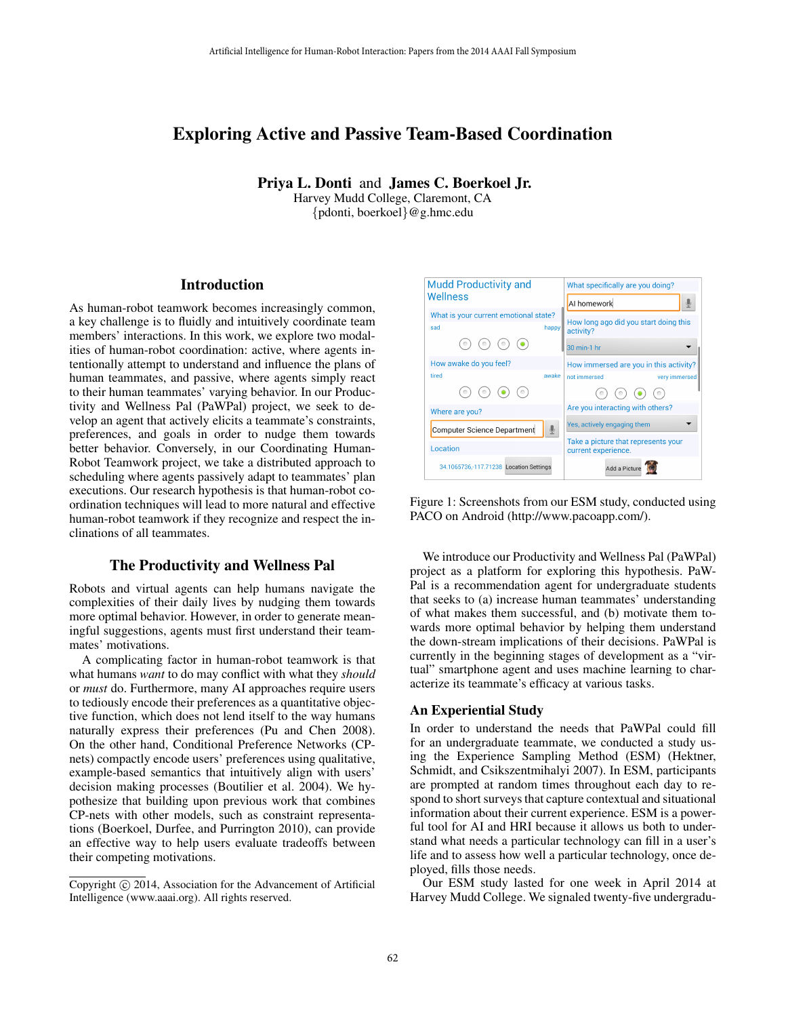# Exploring Active and Passive Team-Based Coordination

Priya L. Donti and James C. Boerkoel Jr. Harvey Mudd College, Claremont, CA

{pdonti, boerkoel}@g.hmc.edu

### **Introduction**

As human-robot teamwork becomes increasingly common, a key challenge is to fluidly and intuitively coordinate team members' interactions. In this work, we explore two modalities of human-robot coordination: active, where agents intentionally attempt to understand and influence the plans of human teammates, and passive, where agents simply react to their human teammates' varying behavior. In our Productivity and Wellness Pal (PaWPal) project, we seek to develop an agent that actively elicits a teammate's constraints, preferences, and goals in order to nudge them towards better behavior. Conversely, in our Coordinating Human-Robot Teamwork project, we take a distributed approach to scheduling where agents passively adapt to teammates' plan executions. Our research hypothesis is that human-robot coordination techniques will lead to more natural and effective human-robot teamwork if they recognize and respect the inclinations of all teammates. Artificial Intelligence for Human-Robot interaction: Paper from the 2014 AAAI Fall Symposium<br>
Priya L. Donti and James C. Boornel and Artificial<br>
(pdonti, boerhoel) (eg. Rotermont, CA<br>
(pdonti, boerhoel) (eg. Rotermont, C

### The Productivity and Wellness Pal

Robots and virtual agents can help humans navigate the complexities of their daily lives by nudging them towards more optimal behavior. However, in order to generate meaningful suggestions, agents must first understand their teammates' motivations.

A complicating factor in human-robot teamwork is that what humans *want* to do may conflict with what they *should* or *must* do. Furthermore, many AI approaches require users to tediously encode their preferences as a quantitative objective function, which does not lend itself to the way humans naturally express their preferences (Pu and Chen 2008). On the other hand, Conditional Preference Networks (CPnets) compactly encode users' preferences using qualitative, example-based semantics that intuitively align with users' decision making processes (Boutilier et al. 2004). We hypothesize that building upon previous work that combines CP-nets with other models, such as constraint representations (Boerkoel, Durfee, and Purrington 2010), can provide an effective way to help users evaluate tradeoffs between their competing motivations.



Figure 1: Screenshots from our ESM study, conducted using PACO on Android (http://www.pacoapp.com/).

We introduce our Productivity and Wellness Pal (PaWPal) project as a platform for exploring this hypothesis. PaW-Pal is a recommendation agent for undergraduate students that seeks to (a) increase human teammates' understanding of what makes them successful, and (b) motivate them towards more optimal behavior by helping them understand the down-stream implications of their decisions. PaWPal is currently in the beginning stages of development as a "virtual" smartphone agent and uses machine learning to characterize its teammate's efficacy at various tasks.

#### An Experiential Study

In order to understand the needs that PaWPal could fill for an undergraduate teammate, we conducted a study using the Experience Sampling Method (ESM) (Hektner, Schmidt, and Csikszentmihalyi 2007). In ESM, participants are prompted at random times throughout each day to respond to short surveys that capture contextual and situational information about their current experience. ESM is a powerful tool for AI and HRI because it allows us both to understand what needs a particular technology can fill in a user's life and to assess how well a particular technology, once deployed, fills those needs.

Our ESM study lasted for one week in April 2014 at Harvey Mudd College. We signaled twenty-five undergradu-

Copyright (c) 2014, Association for the Advancement of Artificial Intelligence (www.aaai.org). All rights reserved.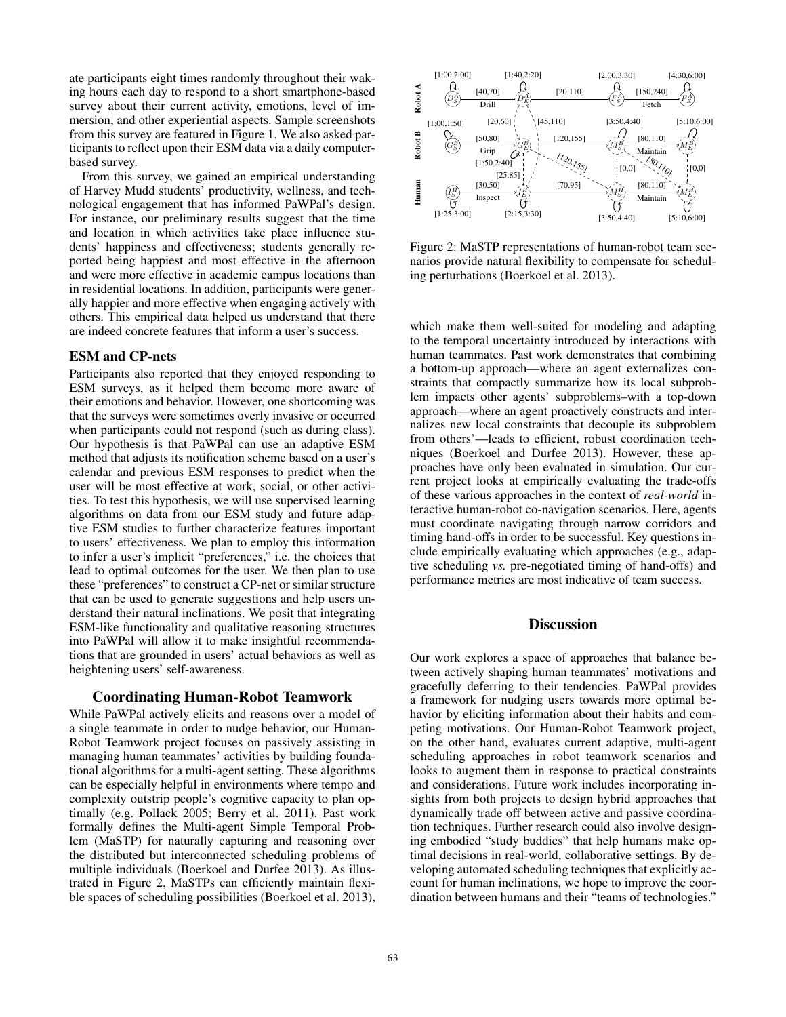ate participants eight times randomly throughout their waking hours each day to respond to a short smartphone-based survey about their current activity, emotions, level of immersion, and other experiential aspects. Sample screenshots from this survey are featured in Figure 1. We also asked participants to reflect upon their ESM data via a daily computerbased survey.

From this survey, we gained an empirical understanding of Harvey Mudd students' productivity, wellness, and technological engagement that has informed PaWPal's design. For instance, our preliminary results suggest that the time and location in which activities take place influence students' happiness and effectiveness; students generally reported being happiest and most effective in the afternoon and were more effective in academic campus locations than in residential locations. In addition, participants were generally happier and more effective when engaging actively with others. This empirical data helped us understand that there are indeed concrete features that inform a user's success.

### ESM and CP-nets

Participants also reported that they enjoyed responding to ESM surveys, as it helped them become more aware of their emotions and behavior. However, one shortcoming was that the surveys were sometimes overly invasive or occurred when participants could not respond (such as during class). Our hypothesis is that PaWPal can use an adaptive ESM method that adjusts its notification scheme based on a user's calendar and previous ESM responses to predict when the user will be most effective at work, social, or other activities. To test this hypothesis, we will use supervised learning algorithms on data from our ESM study and future adaptive ESM studies to further characterize features important to users' effectiveness. We plan to employ this information to infer a user's implicit "preferences," i.e. the choices that lead to optimal outcomes for the user. We then plan to use these "preferences" to construct a CP-net or similar structure that can be used to generate suggestions and help users understand their natural inclinations. We posit that integrating ESM-like functionality and qualitative reasoning structures into PaWPal will allow it to make insightful recommendations that are grounded in users' actual behaviors as well as heightening users' self-awareness.

### Coordinating Human-Robot Teamwork

While PaWPal actively elicits and reasons over a model of a single teammate in order to nudge behavior, our Human-Robot Teamwork project focuses on passively assisting in managing human teammates' activities by building foundational algorithms for a multi-agent setting. These algorithms can be especially helpful in environments where tempo and complexity outstrip people's cognitive capacity to plan optimally (e.g. Pollack 2005; Berry et al. 2011). Past work formally defines the Multi-agent Simple Temporal Problem (MaSTP) for naturally capturing and reasoning over the distributed but interconnected scheduling problems of multiple individuals (Boerkoel and Durfee 2013). As illustrated in Figure 2, MaSTPs can efficiently maintain flexible spaces of scheduling possibilities (Boerkoel et al. 2013),



Figure 2: MaSTP representations of human-robot team scenarios provide natural flexibility to compensate for scheduling perturbations (Boerkoel et al. 2013).

which make them well-suited for modeling and adapting to the temporal uncertainty introduced by interactions with human teammates. Past work demonstrates that combining a bottom-up approach—where an agent externalizes constraints that compactly summarize how its local subproblem impacts other agents' subproblems–with a top-down approach—where an agent proactively constructs and internalizes new local constraints that decouple its subproblem from others'—leads to efficient, robust coordination techniques (Boerkoel and Durfee 2013). However, these approaches have only been evaluated in simulation. Our current project looks at empirically evaluating the trade-offs of these various approaches in the context of *real-world* interactive human-robot co-navigation scenarios. Here, agents must coordinate navigating through narrow corridors and timing hand-offs in order to be successful. Key questions include empirically evaluating which approaches (e.g., adaptive scheduling *vs.* pre-negotiated timing of hand-offs) and performance metrics are most indicative of team success.

### **Discussion**

Our work explores a space of approaches that balance between actively shaping human teammates' motivations and gracefully deferring to their tendencies. PaWPal provides a framework for nudging users towards more optimal behavior by eliciting information about their habits and competing motivations. Our Human-Robot Teamwork project, on the other hand, evaluates current adaptive, multi-agent scheduling approaches in robot teamwork scenarios and looks to augment them in response to practical constraints and considerations. Future work includes incorporating insights from both projects to design hybrid approaches that dynamically trade off between active and passive coordination techniques. Further research could also involve designing embodied "study buddies" that help humans make optimal decisions in real-world, collaborative settings. By developing automated scheduling techniques that explicitly account for human inclinations, we hope to improve the coordination between humans and their "teams of technologies."